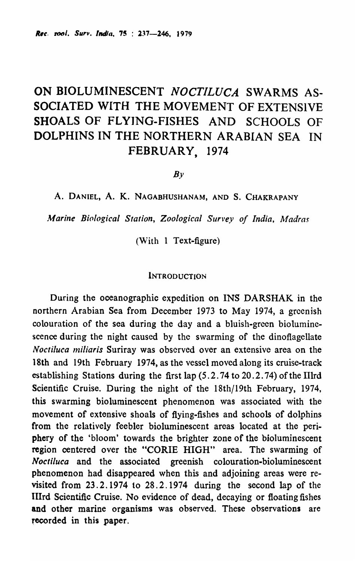# ON BIOLUMINESCENT *NOCTILUCA* SWARMS AS-SOCIATED WITH THE MOVEMENT OF EXTENSIVE SHOALS OF FLYING-FISHES AND SCHOOLS OF DOLPHINS IN THE NORTHERN ARABIAN SEA IN FEBRUARY, 1974

 $Bv$ 

A. DANIEL, A. K. NAGABHUSHANAM, AND S. CHAKRAPANY

*Marine Biological Station, Zoological Survey of India. Madras* 

(With  $1$  Text-figure)

#### **INTRODUCTION**

During the oceanographic expedition on INS DARSHAK in the northern Arabian Sea from December 1973 to May 1974, a greenish colouration of the sea during the day and a bluish-green bioluminescence during the night caused by the swarming of the dinoflagellate *Noctiluca miliaris* Suriray was observed over an extensive area on the 18th and 19th February 1974, as the vessel moved along its cruise-track establishing Stations during the first lap (5.2.74 to 20.2.74) of the IIlrd Scientific Cruise. During the night of the 18th/19th February, 1974, this swarming bioluminescent phenomenon was associated with the movement of extensive shoals of flying-fishes and schools of dolphins from the relatively feebler bioluminescent areas located at the periphery of the 'bloom' towards the brighter zone of the bioluminescent region centered over the "CORlE HIGH" area. The swarming of *Noctiluca* and the associated greenish colouration-bioluminescent phenomenon had disappeared when this and adjoining areas were revisited from 23.2.1974 to 28.2.1974 during the second lap of the IIIrd Scientific Cruise. No evidence of dead, decaying or floating fishes and other marine organisms was observed. These observations are recorded in this paper.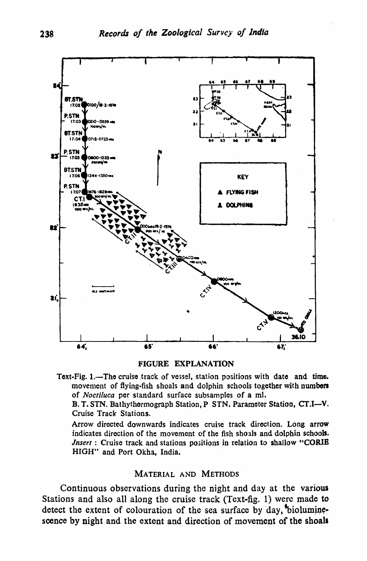

#### FIGURE EXPLANATION

Text-Fig. 1.—The cruise track of vessel, station positions with date and time. movement of flying-fish shoals and dolphin schools together with numbers of *Noctiluca* per standard surface subsamples of a ml.

B. T. STN. Bathythermograph Station, P STN. Parameter Station, CT.I-V. Cruise Track' Stations.

Arrow directed downwards indicates cruise track direction. Long arrow indicates direction of the movement of the fish shoals and dolphin schools. *Jnsert* : Cruise track and stations positions in relation to shallow "CORIE HIGH" and Port Okha, India.

### . MATERIAL AND METHODS

Continuous observations during the night and day at the various Stations and also all along the cruise track (Text-fig. 1) were made to detect the extent of colouration of the sea surface by day, bioluminescence by night and the extent and direction of movement of the shoals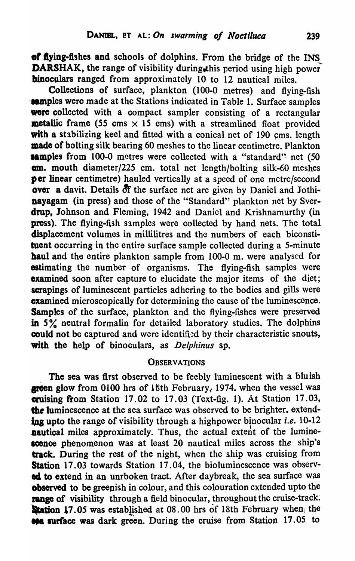of flying-fishes and schools of dolphins. From the bridge of the INS DARSHAK, the range of visibility during, this period using high power binoculars ranged from approximately 10 to 12 nautical miles.

Collections of surface, plankton (100-0 metres) and flying-fish **samples were made at the Stations indicated in Table 1. Surface samples** were collected with a compact sampler consisting of a rectangular **metallic frame** (55 cms  $\times$  15 cms) with a streamlined float provided with a stabilizing keel and fitted with a conical net of 190 cms. length made of bolting silk bearing 60 meshes to the linear centimetre. Plankton **aamples from 100-0 metres were collected with a "standard" net (50** am. mouth diameter/225 cm. total net length/bolting silk-60 meshes per linear centimetre) hauled vertically at a speed of one metre/second over a davit. Details of the surface net are given by Daniel and Jothinayagam (in press) and those of the "Standard" plankton net by Sverdrup, Johnson and Fleming, 1942 and Daniel and Krishnamurthy (in press). The flying-fish samples were collected by hand nets. The total displacement volumes in millilitres and the numbers of each biconstituent occurring in the entire surface sample collected during a 5-minute haul and the entire plankton sample from 100-0 m. were analysed for estimating the number of organisms. The flying-fish samples were **examined** soon after capture to elucidate the major items of the diet; scrapings of luminescent particles adhering to the bodies and gills were examined microscopically for determining the cause of the luminescence. Samples of the surface, plankton and the flying-fishes were preserved in *5* % neutral formalin for detailed laboratory studies. The dolphins could not be captured and were identified by their characteristic snouts, with the help of binoculars, as *Delphinus* sp.

## **OBSERVATIONS**

The sea was first observed to be feebly luminescent with a bluish **green glow from 0100 hrs of 18th February, 1974. when the vessel was** cruising from Station 17.02 to 17.03 (Text-fig. 1). At Station 17.03, the luminescence at the sea surface was observed to be brighter. extending upto the range of visibility through a highpower binocular *i.e.* 10-12 nautical miles approximately. Thus, the actual extent of the luminescence phenomenon was at least 20 nautical miles across the ship's track. During the rest of the night, when the ship was cruising from Station 17.03 towards Station 17.04, the bioluminescence was observod to extend in an unrboken tract. After daybreak, the sea surface was observed to be greenish in colour, and this colouration extended upto the range of visibility through a field binocular, throughout the cruise-track. **Station 17.05** was established at 08.00 hrs of 18th February when the **400 surface was dark green.** During the cruise from Station 17.05 to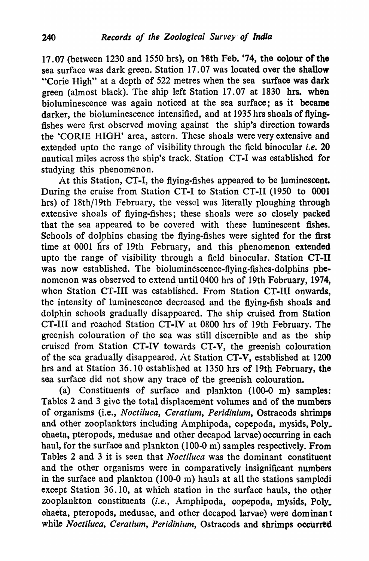17.07 (between 1230 and 1550 hrs), on Nth Feb. '74, the colour of the sea surface was dark green. Station 17.07 was located over the shallow "Corie High" at a depth of 522 metres when the sea surface was dark green (almost black). The ship left Station 17.07 at 1830 hrs. when bioluminescence was again noticed at the sea surface; as it became darker, the bioluminescence intensified, and at 1935 hrs shoals of flyingfishes were first observed moving against the ship's direction towards the 'CORlE HIGH' area, astern. These shoals were very extensive and extended upto the range of visibility through the field binocular *i.e.* 20 nautical miles across the ship's track. Station CT-I was established for studying this phenomenon.

At this Station, CT-I, the flying-fishes appeared to be luminescent. During the cruise from Station CT-I to Station CT-II (1950 to 0001 hrs) of 18th/19th February, the vessel was literally ploughing through extensive shoals of fiving-fishes; these shoals were so closely packed that the sea appeared to be covered with these luminescent fishes. Schools of dolphins chasing the flying-fishes were sighted for the first time at 0001 hrs of 19th February, and this phenomenon extended upto the range of visibility through a field binocular. Station CT-II was now established. The bioluminescence-flying-fishes-dolphins phenomenon was observed to extend until 0400 hrs of 19th February, 1974, when Station CT-III was established. From Station CT-III onwards, the intensity of luminescence decreased and the flying-fish shoals and dolphin schools gradually disappeared. The ship cruised from Station CT-III and reached Station CT-IV at 0800 hrs of 19th February. The greenish colouration of the sea was still discernible and as the ship cruised from Station CT-IV towards CT-V, the greenish colouration of the sea gradually disappeared. At Station CT-V, established at 1200 hrs and at Station 36.10 established at 1350 hrs of 19th February, the sea surface did not show any trace of the greenish colouration.

(a) Constituents of surface and plankton (100-0 m) samples: Tables 2 and 3 give the total displacement volumes and of the numbers of organisms (i.e., *Noctiluca, Ceratium, Peridinium,* Ostracods shrimps and other zooplankters including Amphipoda, copepoda, mysids, Poly\_ chaeta, pteropods, medusae and other decapod larvae) occurring in each haul, for the surface and plankton (100-0 m) samples respectively. From Tables 2 and 3 it is seen that *Noctiluca* was the dominant constituent and the other organisms were in comparatively insignificant numbers in the surface and plankton  $(100-0)$  m) hauls at all the stations sampledi except Station 36.10, at which station in the surface hauls, the other zooplankton constituents *(i.e.,* Amphipoda, copepoda, mysids, Poly. ohaeta, pteropods, medusae, and other decapod larvae) were dominan t while *Noctiluca, Ceratium, Peridinium, Ostracods and shrimps occurred*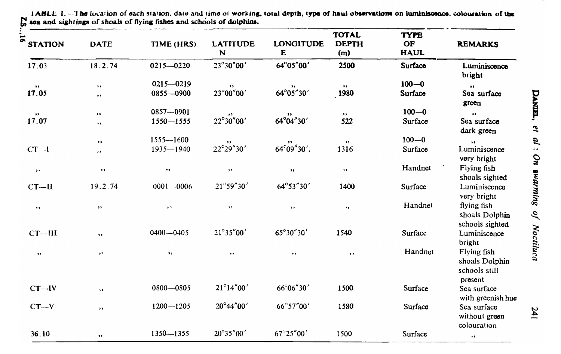| $\overline{5}$<br><b>STATION</b> | <b>DATE</b>          | TIME (HRS)                  | <b>LATITUDE</b><br>N | <b>LONGITUDE</b><br>E | <b>TOTAL</b><br><b>DEPTH</b><br>(m) | <b>TYPE</b><br><b>OF</b><br><b>HAUL</b> | <b>REMARKS</b>                                            |
|----------------------------------|----------------------|-----------------------------|----------------------|-----------------------|-------------------------------------|-----------------------------------------|-----------------------------------------------------------|
| 17.03                            | 18.2.74              | $0215 - 0220$               | 23°30"00'            | 64°05"00'             | 2500                                | Surface                                 | Luminiscence<br>bright                                    |
| $\bullet\bullet$                 | $\bullet\bullet$     | $0215 - 0219$               | $\bullet\bullet$     |                       | $\bullet\bullet$                    | $100 - 0$                               | $\bullet$                                                 |
| 17.05                            | $\bullet$ $\bullet$  | 0855-0900                   | 23°00"00'            | $64^{\circ}05''30'$   | 1980                                | Surface                                 | Sea surface<br>green                                      |
| $\bullet\bullet$                 | $\bullet\bullet$     | 0857-0901                   | $\,$                 |                       | $\bullet\bullet$                    | $100 - 0$                               | $\bullet\,\bullet$                                        |
| 17.07                            | $, \,$               | $1550 - 1555$               | 22°30"00'            | $64^{\circ}04''30'$   | 522                                 | Surface                                 | Sea surface<br>dark green                                 |
|                                  | $\bullet\bullet$     | $1555 - 1600$               | ,,                   |                       | $, \,$                              | $100 - 0$                               | $\rightarrow$                                             |
| $CT -1$                          | , ,                  | $1935 - 1940$               | 22°29"30'            | $64^{\circ}09''30'.$  | 1316                                | Surface                                 | Luminiscence<br>very bright                               |
| $, \,$                           | $\bullet$ $\bullet$  | $, \,$                      | , ,                  | $\bullet\bullet$      | $, \,$                              | Handnet                                 | Flying fish<br>shoals sighted                             |
| $CT-II$                          | 19.2.74              | $0001 - 0006$               | $21^{\circ}59''30'$  | 64°53"30'             | 1400                                | Surface                                 | Luminiscence<br>very bright                               |
| , ,                              | $\rightarrow$        | $\rightarrow$ $\rightarrow$ | $, \,$               | $, \,$                | , ,                                 | Handnet                                 | flying fish<br>shoals Dolphin<br>schools sighted          |
| $CT$ --III                       | $\rightarrow$        | $0400 - 0405$               | $21^{\circ}35''00'$  | 65°30"30'             | 1540                                | Surface                                 | Luminiscence<br>bright                                    |
| $, \,$                           | $\bullet\, \bullet$  | $, \,$                      | $, \,$               | $, \,$                | , ,                                 | Handnet                                 | Flying fish<br>shoals Dolphin<br>schools still<br>present |
| $CT - IV$                        | $\ddot{\phantom{1}}$ | $0800 - 0805$               | $21^{\circ}14''00'$  | 66°06"30'             | 1500                                | Surface                                 | Sea surface<br>with greenish hue                          |
| $CT - V$                         | $, \,$               | $1200 - 1205$               | 20°44"00'            | 66°57"00'             | 1580                                | Surface                                 | Sea surface<br>without green<br>colouration               |
| 36.10                            | $\rightarrow$        | 1350-1355                   | 20°35"00'            | 67 25"00'             | 1500                                | Surface                                 | $\pmb{\cdot}$                                             |

1ABLE 1.-The location of each station, date and time of working, total depth, type of haul observations on luminiscence, colouration of the  $\mathbb{R}$  and sightings of shoals of flying fishes and schools of dolphins.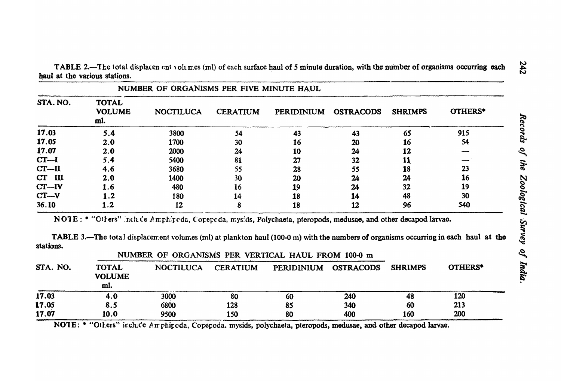TABLE 2.—The total displacen ent volumes (ml) of each surface haul of 5 minute duration, with the number of organisms occurring each haul at the various stations.

| NUMBER OF ORGANISMS PER FIVE MINUTE HAUL |                                      |                  |                 |                   |                  |                |         |  |
|------------------------------------------|--------------------------------------|------------------|-----------------|-------------------|------------------|----------------|---------|--|
| STA. NO.                                 | <b>TOTAL</b><br><b>VOLUME</b><br>ml. | <b>NOCTILUCA</b> | <b>CERATIUM</b> | <b>PERIDINIUM</b> | <b>OSTRACODS</b> | <b>SHRIMPS</b> | OTHERS* |  |
| 17.03                                    | 5.4                                  | 3800             | 54              | 43                | 43               | 65             | 915     |  |
| 17.05                                    | 2.0                                  | 1700             | 30              | 16                | 20               | 16             | 54      |  |
| 17.07                                    | 2.0                                  | 2000             | 24              | 10                | 24               | 12             |         |  |
| $CT-I$                                   | 5.4                                  | 5400             | 81              | 27                | 32               | 11             |         |  |
| $CT - II$                                | 4.6                                  | 3680             | 55              | 28                | 55               | 18             | 23      |  |
| $\mathbf{H}$<br>CT                       | 2.0                                  | 1400             | 30              | 20                | 24               | 24             | 16      |  |
| $CT - IV$                                | 1.6                                  | 480              | 16              | 19                | 24               | 32             | 19      |  |
| $CT - V$                                 | 1.2                                  | 180              | 14              | 18                | 14               | 48             | 30      |  |
| 36.10                                    | 1.2                                  | 12               |                 | 18                | 12               | 96             | 540     |  |

NOTE: \* "Otters" include Amphipoda, Copepoda, mysids, Polychaeta, pteropods, medusae, and other decapod larvae.

TABLE 3.—The total displacement volumes (ml) at plankton haul (100-0 m) with the numbers of organisms occurring in each haul at the stations.

| STA. NO. | NUMBER OF ORGANISMS PER VERTICAL HAUL FROM 100-0 m |                  |                 |                      |     |                |                |
|----------|----------------------------------------------------|------------------|-----------------|----------------------|-----|----------------|----------------|
|          | <b>TOTAL</b><br><b>VOLUME</b><br>ml.               | <b>NOCTILUCA</b> | <b>CERATIUM</b> | PERIDINIUM OSTRACODS |     | <b>SHRIMPS</b> | <b>OTHERS*</b> |
| 17.03    | 4.0                                                | 3000             | 80              | 60                   | 240 | 48             | 120            |
| 17.05    | 8.5                                                | 6800             | 128             | 85                   | 340 | 60             | 213            |
| 17.07    | 10.0                                               | 9500             | 150             | 80                   | 400 | 160            | 200            |

NOTE: \* "Others" include Amphipeda, Copepoda. mysids, polychaeta, pteropods, medusae, and other decapod larvae.

242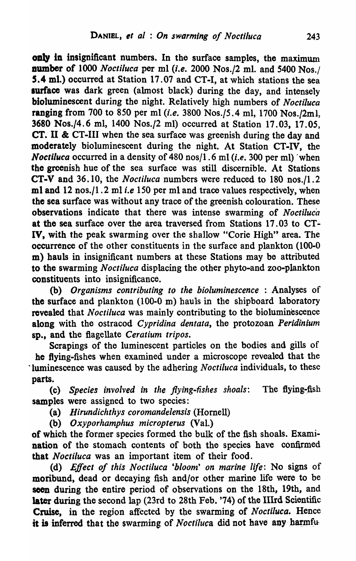only in insignificant numbers. In the surface samples, the maximum **number** of 1000 *Noetiluea* per ml *(i.e.* 2000 Nos./2 ml. and 5400 Nos./ 5.4 mI.) occurred at Station 17.07 and CT-I, at which stations the sea surface was dark green (almost black) during the day, and intensely bioluminescent during the night. Relatively high numbers of *Nocliluca*  ranging from 700 to *850* per ml *(i.e.* 3800 *Nos.IS.* 4 ml, 1700 Nos./2m!, 3680 Nos./4.6 ml, 1400 *Nos./2* ml) occurred at Station 17.03, 17.05, CT. II & CT-III when the sea surface was greenish during the day and moderately bioluminescent during the night. At Station CT-IV, the *Noctiluca* occurred in a density of 480 nos/1.6 ml (*i.e.* 300 per ml) when the greenish hue of the sea surface was still discernible. At Stations CT-V and 36.10, the *Noctiluea* numbers were reduced to 180 nos./l.2 ml and 12 nos./l. 2 ml *i.e 150* per ml and trace values respectively, when the sea surface was without any trace of the greenish colouration. These observations indicate that there was intense swarming of *Noctiluc'a*  at the sea surface over the area traversed from Stations 17.03 to CT-IV, with the peak swarming over the shallow "Corie High" area. The occurrence of the other constituents in the surface and plankton (100-0 m) hauls in insignificant numbers at these Stations may be attributed to the swarming *Noctifuca* displacing the other phyto-and zoo-plankton constituents into insignificance.

(b) *Organisms contributing to the bioluminescence* : Analyses of the surface and plankton (100-0 m) hauls in the shipboard laboratory revealed that *Noctiluca* was mainly contributing to the bioluminescence along with the ostracod *Cypridina dentata,* the protozoan *Peridinium*  sp., and the flagellate *Ceratium tripos.* 

Scrapings of the luminescent particles on the bodies and gills of he flying-fishes when examined under a microscope revealed that the "luminescence was caused by the adhering *Noctiluca* individuals, to these parts.

(c) *Species involved in the flying-fishes shoals:* The flying~fish samples were assigned to two species:

(a) *Hirundichthys coromandelensis* (Hornell)

(b) *Oxyporhamphus micropterus* (Va1.)

of which the former species formed the bulk of the fish shoals. Examination of the stomach contents of both the species have confirmed that *Noctiluca* was an important item of their food.

(d) *Effect of this Noctiluca 'bloom' on marine life:* No signs of moribund, dead or decaying fish and/or other marine life were to be seen during the entire period of observations on the 18th, 19th, and later during the second lap (23rd to 28th Feb. '74) of the IIIrd Scientific Cruise, in the region affected by tbe swarming of *Noctiluca.* Hence it is inferred that the swarming of *Noctiluca* did not have any harmfu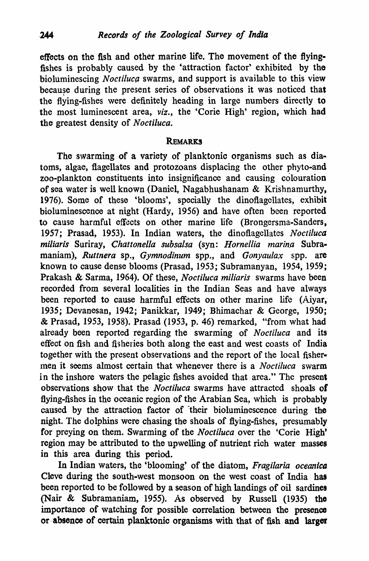effects on the fish and other marine life. The movement of the flyingfishes is probably caused by the 'attraction factor' exhibited by the bioluminescing *Noctiluca* swarms, and support is available to this view because during the present series of observations it was noticed that \ the flying-fishes were definitely heading in large numbers directly to the most luminescent area, *viz.,* the 'Corie High' region, which had the greatest density of *Noctiluca*.

## REMARKS

The swarming of a variety of planktonic organisms such as diatoms, algae, flagellates and protozoans displacing the other phyto-and zoo-plankton constituents into insignificance and causing colouration of sea water is well known (Daniel, Nagabhushanam & Krishnamurthy, 1976). Some of these 'blooms', specially the dinoflagellates, exhibit bioluminescence at night (Hardy, 1956) and have often been reported to cause harmful effects on other marine life (Brongersma-Sanders, 1957; Prasad, 1953). In Indian waters, the dinoflagellates *Noctiluca miliaris* Suriray, *Chattonella subsalsa* (syn: *Hornellia marina* Subramaniam), *Ruttnera* sp., *Gymnodinum* spp., and *Gonyaulax* spp. are known to cause dense blooms (Prasad, 1953; Subramanyan, 1954, 1959; Prakash & Sarma, 1964). Of these, *Noctiluca miliaris* swarms have been recorded from several localities in the Indian Seas and have always been reported to cause harmful effects on other marine life (Aiyar, 1935; Devanesan, 1942; Panikkar, 1949; Bhimachar & George, 1950; & Prasad, 1953, 1958). Prasad (1953, p. 46) remarked, "from what had already been reported regarding the swarming of *Noctiluca* and its effect on fish and fisheries both along the east and west coasts of India together with the present observations and the report of the local fisher-· Inen it seems almost certain that whenever there is a *Noctiluca* swarm in the inshore waters the pelagic fishes avoided that area." The present observations show that the *Noctiluca* swarms have attracted shoals of flying-fishes in the oceanic region of the Arabian Sea, which is probably caused by the attraction factor of their bioluminescence during the night. The dolphins were chasing the shoals of flying-fishes, presumably for preying on them. Swarming of the *Noctiluca* over the 'Corie High' region may be attributed to the upwelling of nutrient rich water masses in this area during this period.

In Indian waters, the 'blooming' of the diatom, *Fragilaria oceanica*  Cleve during the south-west monsoon on the west coast of India bas been reported to be followed by a season of high landings of oil sardines (Nair & Subramaniam, 1955). As observed by Russell (1935) tho importance of watching for possible correlation between the presence or absence of certain planktonic organisms with that of fish and larger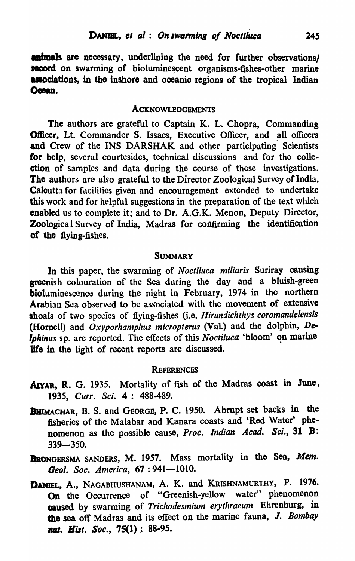**animals are necessary, underlining the need for further observations/** record on swarming of bioluminescent organisms-fishes-other marine associations, in the inshore and oceanic regions of the tropical Indian Ocean.

# ACKNOWLEDGEMENTS

The authors are grateful to Captain K. L. Chopra, Commanding Officer, Lt. Commander S. Issacs, Executive Officer, and all officers and Crew of the INS DARSHAK and other participating Scientists for help, several courtesides, technical discussions and for the collection of samples and data during the course of these investigations. The authors are also grateful to the Director Zoological Survey of India, Calcutta for facilities given and encouragement extended to undertake this work and for helpful suggestions in the preparation of the text which enabled us to complete it; and to Dr. A.O.K. Menon, Deputy Director, Zoologica I Survey of India, Madras for confirming the identification of the flying-fishes.

# **SUMMARY**

In this paper, the swarming of *Noctiluca miliaris* Suriray causing greenish colouration of the Sea during the day and a bluish-green bioluminescence during the night in February, 1974 in the northern Arabian Sea observed to be associated with the movement of extensive shoals of two species of flying-fishes (i.e. *Hirundichthys coromandelensis*  (Hornell) and *Oxyporhamphus micropterus* (Val.) and the dolphin, De*lphinus* sp. are reported. The effects of this *Noctiluca* 'bloom' on marine life in the light of recent reports are discussed.

## **REFERENCES**

- AIYAR, R. G. 1935. Mortality of fish of the Madras coast in June, *1935, CurT. Sci.* 4 : 488-489.
- BHIMACHAR, B. S. and GEORGE, P. C. 1950. Abrupt set backs in the fisheries of the Malabar and Kanara coasts and 'Red Water' phenomenon as the possible cause, *Proc. Indian Acad. Sci.*, 31 B: 339-350.
- BRONGERSMA SANDERS, M. 1957. Mass mortality in the Sea, Mem. Geol. Soc. America, 67:941-1010.
- DANIEL, A., NAGABHUSHANAM, A. K. and KRISHNAMURTHY, P. 1976. On the Occurrence of "Greenish-yellow water" phenomenon caused by swarming of *Trichodesmium erythraeum* Ehrenburg, in the sea off Madras and its effect on the marine fauna, J. *Bombay*  nat. *Hist. Soc.*, 75(1) : 88-95.